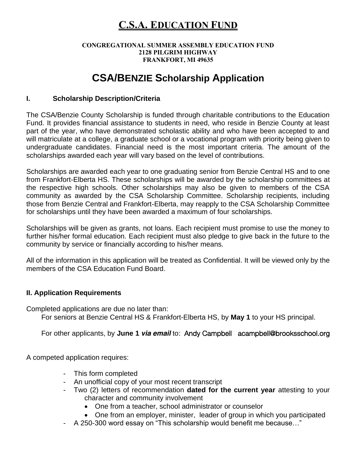# **C.S.A. EDUCATION FUND**

### **CONGREGATIONAL SUMMER ASSEMBLY EDUCATION FUND 2128 PILGRIM HIGHWAY FRANKFORT, MI 49635**

# **CSA/BENZIE Scholarship Application**

### **I. Scholarship Description/Criteria**

The CSA/Benzie County Scholarship is funded through charitable contributions to the Education Fund. It provides financial assistance to students in need, who reside in Benzie County at least part of the year, who have demonstrated scholastic ability and who have been accepted to and will matriculate at a college, a graduate school or a vocational program with priority being given to undergraduate candidates. Financial need is the most important criteria. The amount of the scholarships awarded each year will vary based on the level of contributions.

Scholarships are awarded each year to one graduating senior from Benzie Central HS and to one from Frankfort-Elberta HS. These scholarships will be awarded by the scholarship committees at the respective high schools. Other scholarships may also be given to members of the CSA community as awarded by the CSA Scholarship Committee. Scholarship recipients, including those from Benzie Central and Frankfort-Elberta, may reapply to the CSA Scholarship Committee for scholarships until they have been awarded a maximum of four scholarships.

Scholarships will be given as grants, not loans. Each recipient must promise to use the money to further his/her formal education. Each recipient must also pledge to give back in the future to the community by service or financially according to his/her means.

All of the information in this application will be treated as Confidential. It will be viewed only by the members of the CSA Education Fund Board.

### **II. Application Requirements**

Completed applications are due no later than: For seniors at Benzie Central HS & Frankfort-Elberta HS, by **May 1** to your HS principal.

For other applicants, by **June 1 via email** to: Andy Campbell acampbell@brooksschool.org

A competed application requires:

- This form completed
- An unofficial copy of your most recent transcript
- Two (2) letters of recommendation **dated for the current year** attesting to your character and community involvement
	- One from a teacher, school administrator or counselor
	- One from an employer, minister, leader of group in which you participated
- A 250-300 word essay on "This scholarship would benefit me because…"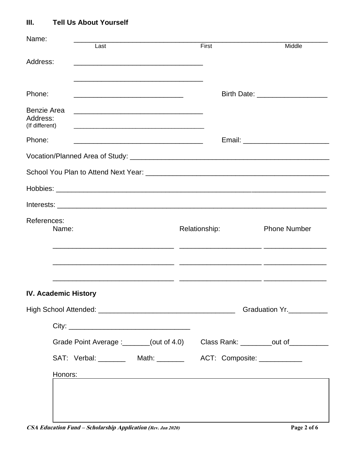#### **Tell Us About Yourself**  $III.$

| Name:                                            | Last                                                                                                                                                                                                                                         | First         | Middle                                |  |
|--------------------------------------------------|----------------------------------------------------------------------------------------------------------------------------------------------------------------------------------------------------------------------------------------------|---------------|---------------------------------------|--|
| Address:                                         |                                                                                                                                                                                                                                              |               |                                       |  |
| Phone:                                           | <u> 1989 - Johann John Stoff, deutscher Stoffen und der Stoffen und der Stoffen und der Stoffen und der Stoffen</u><br><u> 1989 - Johann Harry Harry Harry Harry Harry Harry Harry Harry Harry Harry Harry Harry Harry Harry Harry Harry</u> |               | Birth Date: _________________________ |  |
| <b>Benzie Area</b><br>Address:<br>(If different) | <u> 1980 - John Stone, Amerikaansk politiker († 1901)</u>                                                                                                                                                                                    |               |                                       |  |
| Phone:                                           |                                                                                                                                                                                                                                              |               |                                       |  |
|                                                  |                                                                                                                                                                                                                                              |               |                                       |  |
|                                                  |                                                                                                                                                                                                                                              |               |                                       |  |
|                                                  |                                                                                                                                                                                                                                              |               |                                       |  |
|                                                  |                                                                                                                                                                                                                                              |               |                                       |  |
| References:<br>Name:                             |                                                                                                                                                                                                                                              | Relationship: | <b>Phone Number</b>                   |  |
|                                                  |                                                                                                                                                                                                                                              |               |                                       |  |
| <b>IV. Academic History</b>                      |                                                                                                                                                                                                                                              |               |                                       |  |
|                                                  |                                                                                                                                                                                                                                              |               | Graduation Yr.                        |  |
|                                                  |                                                                                                                                                                                                                                              |               |                                       |  |
|                                                  | Grade Point Average :_______(out of 4.0) Class Rank: ________out of____________                                                                                                                                                              |               |                                       |  |
|                                                  | SAT: Verbal: _________ Math: ________ ACT: Composite: ___________                                                                                                                                                                            |               |                                       |  |
|                                                  | Honors:                                                                                                                                                                                                                                      |               |                                       |  |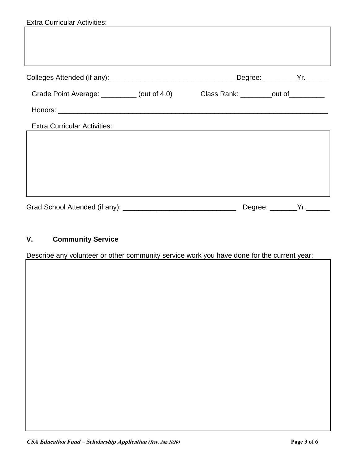| <b>Extra Curricular Activities:</b>                                              |  |                           |  |
|----------------------------------------------------------------------------------|--|---------------------------|--|
|                                                                                  |  |                           |  |
|                                                                                  |  |                           |  |
|                                                                                  |  |                           |  |
|                                                                                  |  |                           |  |
|                                                                                  |  |                           |  |
| Grade Point Average: _________ (out of 4.0) Class Rank: ________out of _________ |  |                           |  |
|                                                                                  |  |                           |  |
| <b>Extra Curricular Activities:</b>                                              |  |                           |  |
|                                                                                  |  |                           |  |
|                                                                                  |  |                           |  |
|                                                                                  |  |                           |  |
|                                                                                  |  |                           |  |
|                                                                                  |  |                           |  |
|                                                                                  |  | Degree: ________Yr.______ |  |

## **V. Community Service**

Describe any volunteer or other community service work you have done for the current year: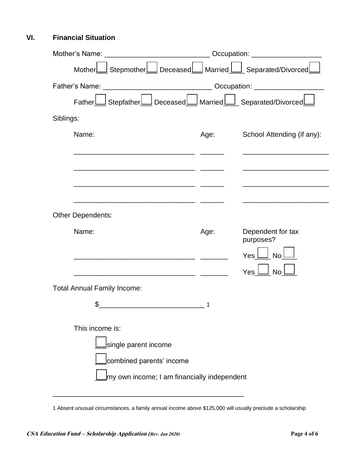### **VI. Financial Situation**

|                                                                     |                                                                                  | Occupation: ____________________ |  |  |
|---------------------------------------------------------------------|----------------------------------------------------------------------------------|----------------------------------|--|--|
| Mother <b>  Stepmother    Deceased</b> Married   Separated/Divorced |                                                                                  |                                  |  |  |
|                                                                     | Father's Name: ___________________________________Occupation: __________________ |                                  |  |  |
| FatherL                                                             |                                                                                  |                                  |  |  |
| Siblings:                                                           |                                                                                  |                                  |  |  |
| Name:                                                               | Age:                                                                             | School Attending (if any):       |  |  |
|                                                                     |                                                                                  |                                  |  |  |
|                                                                     |                                                                                  |                                  |  |  |
| <b>Other Dependents:</b>                                            |                                                                                  |                                  |  |  |
| Name:                                                               | Age:                                                                             | Dependent for tax<br>purposes?   |  |  |
|                                                                     |                                                                                  | Yes l<br>l Nol                   |  |  |
|                                                                     |                                                                                  | Yes<br><b>No</b>                 |  |  |
| <b>Total Annual Family Income:</b>                                  |                                                                                  |                                  |  |  |
| \$                                                                  |                                                                                  |                                  |  |  |
| This income is:                                                     |                                                                                  |                                  |  |  |
| single parent income                                                |                                                                                  |                                  |  |  |
| combined parents' income                                            |                                                                                  |                                  |  |  |
| my own income; I am financially independent                         |                                                                                  |                                  |  |  |
|                                                                     |                                                                                  |                                  |  |  |

1 Absent unusual circumstances, a family annual income above \$125,000 will usually preclude a scholarship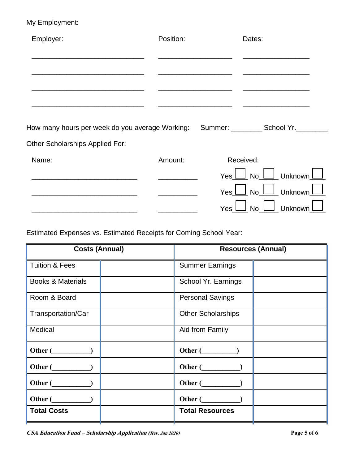## My Employment:

| Employer:                                       | Position: | Dates:                                                |
|-------------------------------------------------|-----------|-------------------------------------------------------|
|                                                 |           |                                                       |
|                                                 |           |                                                       |
|                                                 |           |                                                       |
| How many hours per week do you average Working: |           | Summer: __________ School Yr.___                      |
| <b>Other Scholarships Applied For:</b>          |           |                                                       |
| Name:                                           | Amount:   | Received:                                             |
|                                                 |           | <u>│</u> Unknown <u>│</u><br>$Yes \perp$ No $\lfloor$ |
|                                                 |           | Yes L No L Unknown                                    |
|                                                 |           | Unknown<br>Yes<br><b>No</b>                           |

Estimated Expenses vs. Estimated Receipts for Coming School Year:

| <b>Costs (Annual)</b>        |  | <b>Resources (Annual)</b> |  |
|------------------------------|--|---------------------------|--|
| <b>Tuition &amp; Fees</b>    |  | <b>Summer Earnings</b>    |  |
| <b>Books &amp; Materials</b> |  | School Yr. Earnings       |  |
| Room & Board                 |  | <b>Personal Savings</b>   |  |
| Transportation/Car           |  | <b>Other Scholarships</b> |  |
| Medical                      |  | Aid from Family           |  |
| Other (                      |  | Other (                   |  |
| Other (                      |  | Other (                   |  |
| Other (                      |  | Other (                   |  |
| Other (                      |  | Other (                   |  |
| <b>Total Costs</b>           |  | <b>Total Resources</b>    |  |
|                              |  |                           |  |

**CSA Education Fund – Scholarship Application (Rev. Jan 2020) Page 5 of 6**